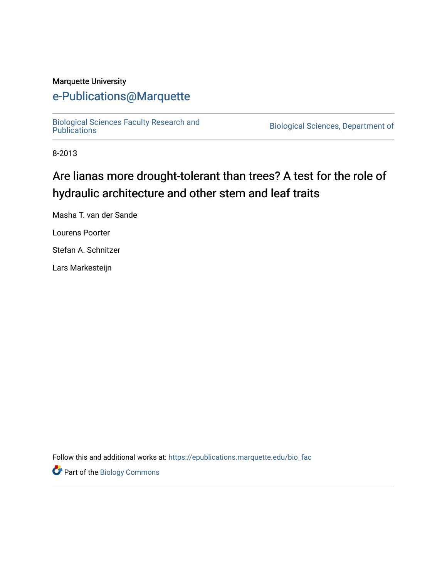#### Marquette University

# [e-Publications@Marquette](https://epublications.marquette.edu/)

[Biological Sciences Faculty Research and](https://epublications.marquette.edu/bio_fac) 

Biological Sciences, Department of

8-2013

# Are lianas more drought-tolerant than trees? A test for the role of hydraulic architecture and other stem and leaf traits

Masha T. van der Sande

Lourens Poorter

Stefan A. Schnitzer

Lars Markesteijn

Follow this and additional works at: [https://epublications.marquette.edu/bio\\_fac](https://epublications.marquette.edu/bio_fac?utm_source=epublications.marquette.edu%2Fbio_fac%2F697&utm_medium=PDF&utm_campaign=PDFCoverPages) 

Part of the [Biology Commons](http://network.bepress.com/hgg/discipline/41?utm_source=epublications.marquette.edu%2Fbio_fac%2F697&utm_medium=PDF&utm_campaign=PDFCoverPages)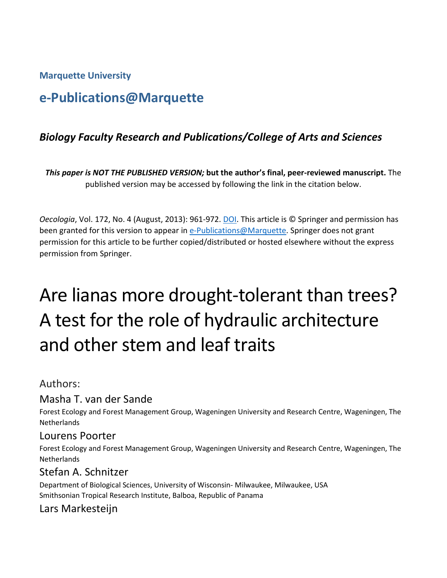#### **Marquette University**

# **e-Publications@Marquette**

# *Biology Faculty Research and Publications/College of Arts and Sciences*

*This paper is NOT THE PUBLISHED VERSION;* **but the author's final, peer-reviewed manuscript.** The published version may be accessed by following the link in the citation below.

*Oecologia*, Vol. 172, No. 4 (August, 2013): 961-972. DOI. This article is © Springer and permission has been granted for this version to appear in [e-Publications@Marquette.](http://epublications.marquette.edu/) Springer does not grant permission for this article to be further copied/distributed or hosted elsewhere without the express permission from Springer.

# Are lianas more drought-tolerant than trees? A test for the role of hydraulic architecture and other stem and leaf traits

#### Authors:

### Masha T. van der Sande

Forest Ecology and Forest Management Group, Wageningen University and Research Centre, Wageningen, The **Netherlands** 

#### Lourens Poorter

Forest Ecology and Forest Management Group, Wageningen University and Research Centre, Wageningen, The **Netherlands** 

# Stefan A. Schnitzer

Department of Biological Sciences, University of Wisconsin- Milwaukee, Milwaukee, USA Smithsonian Tropical Research Institute, Balboa, Republic of Panama

# Lars Markesteijn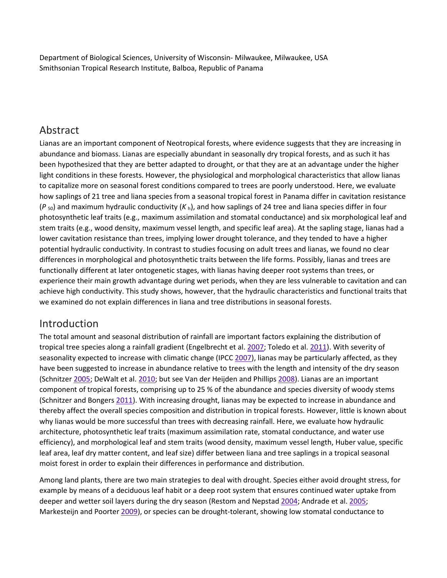Department of Biological Sciences, University of Wisconsin- Milwaukee, Milwaukee, USA Smithsonian Tropical Research Institute, Balboa, Republic of Panama

# Abstract

Lianas are an important component of Neotropical forests, where evidence suggests that they are increasing in abundance and biomass. Lianas are especially abundant in seasonally dry tropical forests, and as such it has been hypothesized that they are better adapted to drought, or that they are at an advantage under the higher light conditions in these forests. However, the physiological and morphological characteristics that allow lianas to capitalize more on seasonal forest conditions compared to trees are poorly understood. Here, we evaluate how saplings of 21 tree and liana species from a seasonal tropical forest in Panama differ in cavitation resistance (*P* 50) and maximum hydraulic conductivity (*K* h), and how saplings of 24 tree and liana species differ in four photosynthetic leaf traits (e.g., maximum assimilation and stomatal conductance) and six morphological leaf and stem traits (e.g., wood density, maximum vessel length, and specific leaf area). At the sapling stage, lianas had a lower cavitation resistance than trees, implying lower drought tolerance, and they tended to have a higher potential hydraulic conductivity. In contrast to studies focusing on adult trees and lianas, we found no clear differences in morphological and photosynthetic traits between the life forms. Possibly, lianas and trees are functionally different at later ontogenetic stages, with lianas having deeper root systems than trees, or experience their main growth advantage during wet periods, when they are less vulnerable to cavitation and can achieve high conductivity. This study shows, however, that the hydraulic characteristics and functional traits that we examined do not explain differences in liana and tree distributions in seasonal forests.

# Introduction

The total amount and seasonal distribution of rainfall are important factors explaining the distribution of tropical tree species along a rainfall gradient (Engelbrecht et al. [2007;](https://link.springer.com/article/10.1007%2Fs00442-012-2563-x#CR8) Toledo et al. [2011\)](https://link.springer.com/article/10.1007%2Fs00442-012-2563-x#CR39). With severity of seasonality expected to increase with climatic change (IPCC [2007\)](https://link.springer.com/article/10.1007%2Fs00442-012-2563-x#CR47), lianas may be particularly affected, as they have been suggested to increase in abundance relative to trees with the length and intensity of the dry season (Schnitzer [2005;](https://link.springer.com/article/10.1007%2Fs00442-012-2563-x#CR32) DeWalt et al. [2010;](https://link.springer.com/article/10.1007%2Fs00442-012-2563-x#CR7) but see Van der Heijden and Phillips [2008\)](https://link.springer.com/article/10.1007%2Fs00442-012-2563-x#CR42). Lianas are an important component of tropical forests, comprising up to 25 % of the abundance and species diversity of woody stems (Schnitzer and Bongers [2011\)](https://link.springer.com/article/10.1007%2Fs00442-012-2563-x#CR34). With increasing drought, lianas may be expected to increase in abundance and thereby affect the overall species composition and distribution in tropical forests. However, little is known about why lianas would be more successful than trees with decreasing rainfall. Here, we evaluate how hydraulic architecture, photosynthetic leaf traits (maximum assimilation rate, stomatal conductance, and water use efficiency), and morphological leaf and stem traits (wood density, maximum vessel length, Huber value, specific leaf area, leaf dry matter content, and leaf size) differ between liana and tree saplings in a tropical seasonal moist forest in order to explain their differences in performance and distribution.

Among land plants, there are two main strategies to deal with drought. Species either avoid drought stress, for example by means of a deciduous leaf habit or a deep root system that ensures continued water uptake from deeper and wetter soil layers during the dry season (Restom and Nepstad [2004;](https://link.springer.com/article/10.1007%2Fs00442-012-2563-x#CR27) Andrade et al. [2005;](https://link.springer.com/article/10.1007%2Fs00442-012-2563-x#CR1) Markesteijn and Poorter [2009\)](https://link.springer.com/article/10.1007%2Fs00442-012-2563-x#CR21), or species can be drought-tolerant, showing low stomatal conductance to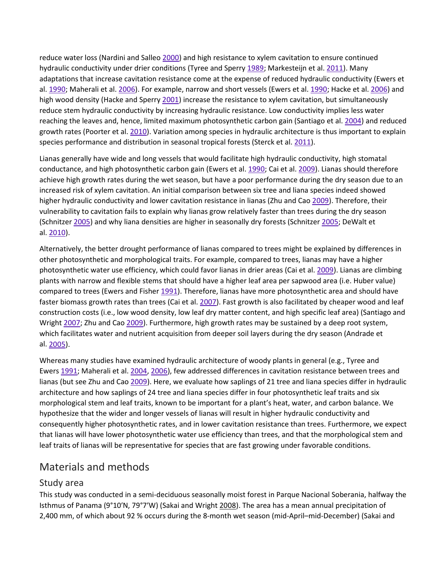reduce water loss (Nardini and Salleo [2000\)](https://link.springer.com/article/10.1007%2Fs00442-012-2563-x#CR23) and high resistance to xylem cavitation to ensure continued hydraulic conductivity under drier conditions (Tyree and Sperry [1989;](https://link.springer.com/article/10.1007%2Fs00442-012-2563-x#CR41) Markesteijn et al. [2011\)](https://link.springer.com/article/10.1007%2Fs00442-012-2563-x#CR22). Many adaptations that increase cavitation resistance come at the expense of reduced hydraulic conductivity (Ewers et al. [1990;](https://link.springer.com/article/10.1007%2Fs00442-012-2563-x#CR11) Maherali et al. [2006\)](https://link.springer.com/article/10.1007%2Fs00442-012-2563-x#CR20). For example, narrow and short vessels (Ewers et al. [1990;](https://link.springer.com/article/10.1007%2Fs00442-012-2563-x#CR11) Hacke et al. [2006\)](https://link.springer.com/article/10.1007%2Fs00442-012-2563-x#CR17) and high wood density (Hacke and Sperry [2001\)](https://link.springer.com/article/10.1007%2Fs00442-012-2563-x#CR16) increase the resistance to xylem cavitation, but simultaneously reduce stem hydraulic conductivity by increasing hydraulic resistance. Low conductivity implies less water reaching the leaves and, hence, limited maximum photosynthetic carbon gain (Santiago et al. [2004\)](https://link.springer.com/article/10.1007%2Fs00442-012-2563-x#CR31) and reduced growth rates (Poorter et al. [2010\)](https://link.springer.com/article/10.1007%2Fs00442-012-2563-x#CR25). Variation among species in hydraulic architecture is thus important to explain species performance and distribution in seasonal tropical forests (Sterck et al. [2011\)](https://link.springer.com/article/10.1007%2Fs00442-012-2563-x#CR38).

Lianas generally have wide and long vessels that would facilitate high hydraulic conductivity, high stomatal conductance, and high photosynthetic carbon gain (Ewers et al. [1990;](https://link.springer.com/article/10.1007%2Fs00442-012-2563-x#CR11) Cai et al. [2009\)](https://link.springer.com/article/10.1007%2Fs00442-012-2563-x#CR6). Lianas should therefore achieve high growth rates during the wet season, but have a poor performance during the dry season due to an increased risk of xylem cavitation. An initial comparison between six tree and liana species indeed showed higher hydraulic conductivity and lower cavitation resistance in lianas (Zhu and Cao [2009\)](https://link.springer.com/article/10.1007%2Fs00442-012-2563-x#CR45). Therefore, their vulnerability to cavitation fails to explain why lianas grow relatively faster than trees during the dry season (Schnitzer [2005\)](https://link.springer.com/article/10.1007%2Fs00442-012-2563-x#CR32) and why liana densities are higher in seasonally dry forests (Schnitzer [2005;](https://link.springer.com/article/10.1007%2Fs00442-012-2563-x#CR32) DeWalt et al. [2010\)](https://link.springer.com/article/10.1007%2Fs00442-012-2563-x#CR7).

Alternatively, the better drought performance of lianas compared to trees might be explained by differences in other photosynthetic and morphological traits. For example, compared to trees, lianas may have a higher photosynthetic water use efficiency, which could favor lianas in drier areas (Cai et al. [2009\)](https://link.springer.com/article/10.1007%2Fs00442-012-2563-x#CR6). Lianas are climbing plants with narrow and flexible stems that should have a higher leaf area per sapwood area (i.e. Huber value) compared to trees (Ewers and Fisher [1991\)](https://link.springer.com/article/10.1007%2Fs00442-012-2563-x#CR10). Therefore, lianas have more photosynthetic area and should have faster biomass growth rates than trees (Cai et al. [2007\)](https://link.springer.com/article/10.1007%2Fs00442-012-2563-x#CR5). Fast growth is also facilitated by cheaper wood and leaf construction costs (i.e., low wood density, low leaf dry matter content, and high specific leaf area) (Santiago and Wright [2007;](https://link.springer.com/article/10.1007%2Fs00442-012-2563-x#CR30) Zhu and Cao [2009\)](https://link.springer.com/article/10.1007%2Fs00442-012-2563-x#CR45). Furthermore, high growth rates may be sustained by a deep root system, which facilitates water and nutrient acquisition from deeper soil layers during the dry season (Andrade et al. [2005\)](https://link.springer.com/article/10.1007%2Fs00442-012-2563-x#CR1).

Whereas many studies have examined hydraulic architecture of woody plants in general (e.g., Tyree and Ewers [1991;](https://link.springer.com/article/10.1007%2Fs00442-012-2563-x#CR40) Maherali et al. [2004,](https://link.springer.com/article/10.1007%2Fs00442-012-2563-x#CR19) [2006\)](https://link.springer.com/article/10.1007%2Fs00442-012-2563-x#CR20), few addressed differences in cavitation resistance between trees and lianas (but see Zhu and Cao [2009\)](https://link.springer.com/article/10.1007%2Fs00442-012-2563-x#CR45). Here, we evaluate how saplings of 21 tree and liana species differ in hydraulic architecture and how saplings of 24 tree and liana species differ in four photosynthetic leaf traits and six morphological stem and leaf traits, known to be important for a plant's heat, water, and carbon balance. We hypothesize that the wider and longer vessels of lianas will result in higher hydraulic conductivity and consequently higher photosynthetic rates, and in lower cavitation resistance than trees. Furthermore, we expect that lianas will have lower photosynthetic water use efficiency than trees, and that the morphological stem and leaf traits of lianas will be representative for species that are fast growing under favorable conditions.

# Materials and methods

#### Study area

This study was conducted in a semi-deciduous seasonally moist forest in Parque Nacional Soberania, halfway the Isthmus of Panama (9°10′N, 79°7′W) (Sakai and Wright [2008\)](https://link.springer.com/article/10.1007%2Fs00442-012-2563-x#CR28). The area has a mean annual precipitation of 2,400 mm, of which about 92 % occurs during the 8-month wet season (mid-April–mid-December) (Sakai and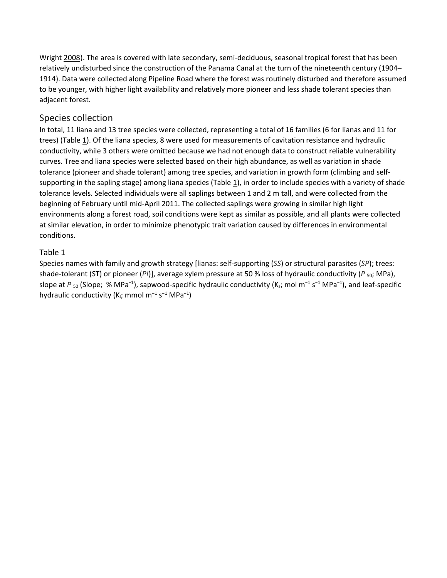Wright [2008\)](https://link.springer.com/article/10.1007%2Fs00442-012-2563-x#CR28). The area is covered with late secondary, semi-deciduous, seasonal tropical forest that has been relatively undisturbed since the construction of the Panama Canal at the turn of the nineteenth century (1904– 1914). Data were collected along Pipeline Road where the forest was routinely disturbed and therefore assumed to be younger, with higher light availability and relatively more pioneer and less shade tolerant species than adjacent forest.

#### Species collection

In total, 11 liana and 13 tree species were collected, representing a total of 16 families (6 for lianas and 11 for trees) (Table [1\)](https://link.springer.com/article/10.1007%2Fs00442-012-2563-x#Tab1). Of the liana species, 8 were used for measurements of cavitation resistance and hydraulic conductivity, while 3 others were omitted because we had not enough data to construct reliable vulnerability curves. Tree and liana species were selected based on their high abundance, as well as variation in shade tolerance (pioneer and shade tolerant) among tree species, and variation in growth form (climbing and selfsupporting in the sapling stage) among liana species (Table [1\)](https://link.springer.com/article/10.1007%2Fs00442-012-2563-x#Tab1), in order to include species with a variety of shade tolerance levels. Selected individuals were all saplings between 1 and 2 m tall, and were collected from the beginning of February until mid-April 2011. The collected saplings were growing in similar high light environments along a forest road, soil conditions were kept as similar as possible, and all plants were collected at similar elevation, in order to minimize phenotypic trait variation caused by differences in environmental conditions.

#### Table 1

Species names with family and growth strategy [lianas: self-supporting (*SS*) or structural parasites (*SP*); trees: shade-tolerant (ST) or pioneer (PI)], average xylem pressure at 50 % loss of hydraulic conductivity (P<sub>50</sub>; MPa), slope at P<sub>50</sub> (Slope; % MPa<sup>-1</sup>), sapwood-specific hydraulic conductivity (K<sub>s</sub>; mol m<sup>-1</sup> s<sup>-1</sup> MPa<sup>-1</sup>), and leaf-specific hydraulic conductivity (K<sub>I</sub>; mmol m<sup>-1</sup> s<sup>-1</sup> MPa<sup>-1</sup>)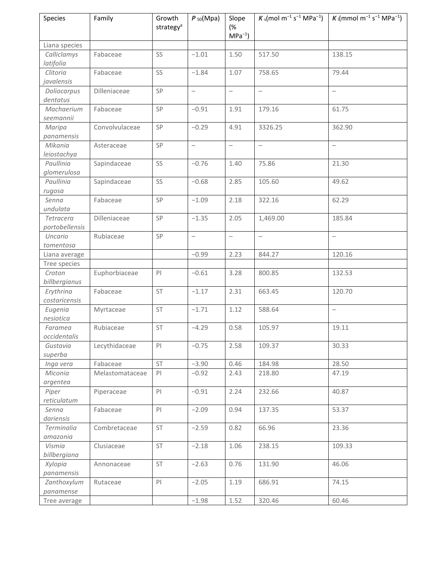| Species                     | Family          | Growth<br>strategy <sup>a</sup> | $P_{50}$ (Mpa)           | Slope<br>(%<br>$MPa^{-1}$ | $K_S$ (mol m <sup>-1</sup> s <sup>-1</sup> MPa <sup>-1</sup> ) | K (mmol m <sup>-1</sup> s <sup>-1</sup> MPa <sup>-1</sup> ) |
|-----------------------------|-----------------|---------------------------------|--------------------------|---------------------------|----------------------------------------------------------------|-------------------------------------------------------------|
| Liana species               |                 |                                 |                          |                           |                                                                |                                                             |
| Calliclamys<br>latifolia    | Fabaceae        | SS                              | $-1.01$                  | 1.50                      | 517.50                                                         | 138.15                                                      |
| Clitoria<br>javalensis      | Fabaceae        | SS                              | $-1.84$                  | 1.07                      | 758.65                                                         | 79.44                                                       |
| Doliocarpus<br>dentatus     | Dilleniaceae    | $\mathsf{SP}$                   | $\overline{\phantom{0}}$ | $\overline{\phantom{0}}$  | $\overline{\phantom{0}}$                                       | $\overline{\phantom{0}}$                                    |
| Machaerium<br>seemannii     | Fabaceae        | SP                              | $-0.91$                  | 1.91                      | 179.16                                                         | 61.75                                                       |
| Maripa<br>panamensis        | Convolvulaceae  | SP                              | $-0.29$                  | 4.91                      | 3326.25                                                        | 362.90                                                      |
| Mikania<br>leiostachya      | Asteraceae      | SP                              | $\qquad \qquad -$        | $\overline{\phantom{0}}$  | $\bar{ }$                                                      | $\frac{1}{2}$                                               |
| Paullinia<br>glomerulosa    | Sapindaceae     | SS                              | $-0.76$                  | 1.40                      | 75.86                                                          | 21.30                                                       |
| Paullinia<br>rugosa         | Sapindaceae     | SS                              | $-0.68$                  | 2.85                      | 105.60                                                         | 49.62                                                       |
| Senna<br>undulata           | Fabaceae        | SP                              | $-1.09$                  | 2.18                      | 322.16                                                         | 62.29                                                       |
| Tetracera<br>portobellensis | Dilleniaceae    | SP                              | $-1.35$                  | 2.05                      | 1,469.00                                                       | 185.84                                                      |
| Uncario<br>tomentosa        | Rubiaceae       | SP                              | $\overline{\phantom{0}}$ | $\overline{\phantom{0}}$  | $\overline{\phantom{0}}$                                       | $\overline{\phantom{0}}$                                    |
| Liana average               |                 |                                 | $-0.99$                  | 2.23                      | 844.27                                                         | 120.16                                                      |
| Tree species                |                 |                                 |                          |                           |                                                                |                                                             |
| Croton<br>billbergianus     | Euphorbiaceae   | P <sub>1</sub>                  | $-0.61$                  | 3.28                      | 800.85                                                         | 132.53                                                      |
| Erythrina<br>costaricensis  | Fabaceae        | ST                              | $-1.17$                  | 2.31                      | 663.45                                                         | 120.70                                                      |
| Eugenia<br>nesiotica        | Myrtaceae       | ST                              | $-1.71$                  | 1.12                      | 588.64                                                         | $\overline{\phantom{m}}$                                    |
| Faramea<br>occidentalis     | Rubiaceae       | <b>ST</b>                       | $-4.29$                  | 0.58                      | 105.97                                                         | 19.11                                                       |
| Gustavia<br>superba         | Lecythidaceae   | PI                              | $-0.75$                  | 2.58                      | 109.37                                                         | 30.33                                                       |
| Inga vera                   | Fabaceae        | ST                              | $-3.90$                  | 0.46                      | 184.98                                                         | 28.50                                                       |
| Miconia<br>argentea         | Melastomataceae | PI                              | $-0.92$                  | 2.43                      | 218.80                                                         | 47.19                                                       |
| Piper<br>reticulatum        | Piperaceae      | P                               | $-0.91$                  | 2.24                      | 232.66                                                         | 40.87                                                       |
| Senna<br>dariensis          | Fabaceae        | P                               | $-2.09$                  | 0.94                      | 137.35                                                         | 53.37                                                       |
| Terminalia<br>amazonia      | Combretaceae    | ST                              | $-2.59$                  | 0.82                      | 66.96                                                          | 23.36                                                       |
| Vismia<br>billbergiana      | Clusiaceae      | ST                              | $-2.18$                  | 1.06                      | 238.15                                                         | 109.33                                                      |
| Xylopia<br>panamensis       | Annonaceae      | ST                              | $-2.63$                  | 0.76                      | 131.90                                                         | 46.06                                                       |
| Zanthoxylum<br>panamense    | Rutaceae        | PI                              | $-2.05$                  | 1.19                      | 686.91                                                         | 74.15                                                       |
| Tree average                |                 |                                 | $-1.98$                  | 1.52                      | 320.46                                                         | 60.46                                                       |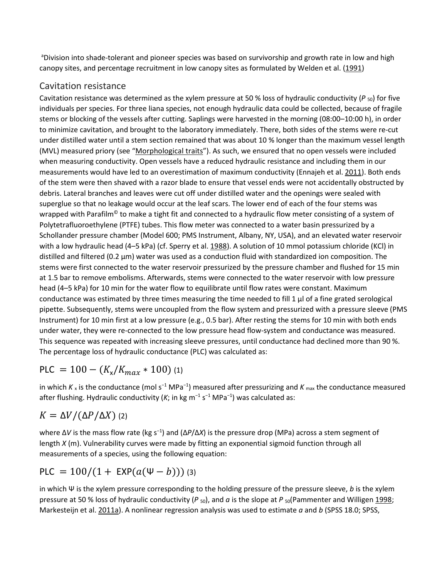<sup>a</sup>Division into shade-tolerant and pioneer species was based on survivorship and growth rate in low and high canopy sites, and percentage recruitment in low canopy sites as formulated by Welden et al. [\(1991\)](https://link.springer.com/article/10.1007%2Fs00442-012-2563-x#CR43)

## Cavitation resistance

Cavitation resistance was determined as the xylem pressure at 50 % loss of hydraulic conductivity (P<sub>50</sub>) for five individuals per species. For three liana species, not enough hydraulic data could be collected, because of fragile stems or blocking of the vessels after cutting. Saplings were harvested in the morning (08:00–10:00 h), in order to minimize cavitation, and brought to the laboratory immediately. There, both sides of the stems were re-cut under distilled water until a stem section remained that was about 10 % longer than the maximum vessel length (MVL) measured priory (see ["Morphological traits"](https://link.springer.com/article/10.1007%2Fs00442-012-2563-x#Sec7)). As such, we ensured that no open vessels were included when measuring conductivity. Open vessels have a reduced hydraulic resistance and including them in our measurements would have led to an overestimation of maximum conductivity (Ennajeh et al. [2011\)](https://link.springer.com/article/10.1007%2Fs00442-012-2563-x#CR9). Both ends of the stem were then shaved with a razor blade to ensure that vessel ends were not accidentally obstructed by debris. Lateral branches and leaves were cut off under distilled water and the openings were sealed with superglue so that no leakage would occur at the leaf scars. The lower end of each of the four stems was wrapped with Parafilm<sup>®</sup> to make a tight fit and connected to a hydraulic flow meter consisting of a system of Polytetrafluoroethylene (PTFE) tubes. This flow meter was connected to a water basin pressurized by a Schollander pressure chamber (Model 600; PMS Instrument, Albany, NY, USA), and an elevated water reservoir with a low hydraulic head (4–5 kPa) (cf. Sperry et al. [1988\)](https://link.springer.com/article/10.1007%2Fs00442-012-2563-x#CR37). A solution of 10 mmol potassium chloride (KCl) in distilled and filtered (0.2 μm) water was used as a conduction fluid with standardized ion composition. The stems were first connected to the water reservoir pressurized by the pressure chamber and flushed for 15 min at 1.5 bar to remove embolisms. Afterwards, stems were connected to the water reservoir with low pressure head (4–5 kPa) for 10 min for the water flow to equilibrate until flow rates were constant. Maximum conductance was estimated by three times measuring the time needed to fill 1  $\mu$  of a fine grated serological pipette. Subsequently, stems were uncoupled from the flow system and pressurized with a pressure sleeve (PMS Instrument) for 10 min first at a low pressure (e.g., 0.5 bar). After resting the stems for 10 min with both ends under water, they were re-connected to the low pressure head flow-system and conductance was measured. This sequence was repeated with increasing sleeve pressures, until conductance had declined more than 90 %. The percentage loss of hydraulic conductance (PLC) was calculated as:

$$
PLC = 100 - (K_x/K_{max} * 100)
$$
 (1)

in which *K* <sub>x</sub> is the conductance (mol s<sup>-1</sup> MPa<sup>-1</sup>) measured after pressurizing and *K* <sub>max</sub> the conductance measured after flushing. Hydraulic conductivity (*K*; in kg m<sup>−</sup><sup>1</sup> s<sup>−</sup><sup>1</sup> MPa<sup>−</sup><sup>1</sup> ) was calculated as:

# $K = \Delta V / (\Delta P / \Delta X)$  (2)

where Δ*V* is the mass flow rate (kg s<sup>−</sup><sup>1</sup> ) and (Δ*P*/Δ*X*) is the pressure drop (MPa) across a stem segment of length *X* (m). Vulnerability curves were made by fitting an exponential sigmoid function through all measurements of a species, using the following equation:

$$
PLC = 100/(1 + EXP(a(\Psi - b)))
$$
 (3)

in which Ψ is the xylem pressure corresponding to the holding pressure of the pressure sleeve, *b* is the xylem pressure at 50 % loss of hydraulic conductivity (*P* <sub>50</sub>), and *a* is the slope at *P* <sub>50</sub>(Pammenter and Willigen [1998;](https://link.springer.com/article/10.1007%2Fs00442-012-2563-x#CR24) Markesteijn et al. [2011a\)](https://link.springer.com/article/10.1007%2Fs00442-012-2563-x#CR22). A nonlinear regression analysis was used to estimate *a* and *b* (SPSS 18.0; SPSS,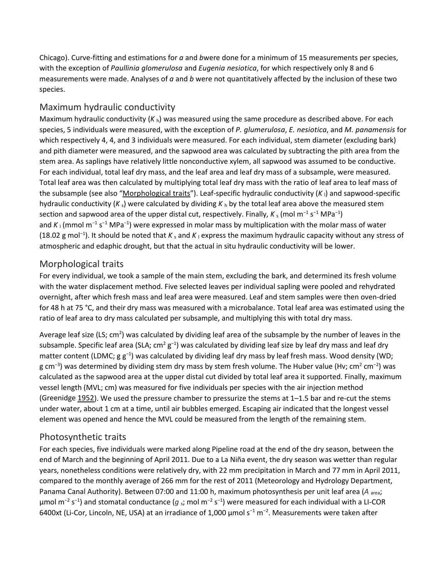Chicago). Curve-fitting and estimations for *a* and *b*were done for a minimum of 15 measurements per species, with the exception of *Paullinia glomerulosa* and *Eugenia nesiotica*, for which respectively only 8 and 6 measurements were made. Analyses of *a* and *b* were not quantitatively affected by the inclusion of these two species.

#### Maximum hydraulic conductivity

Maximum hydraulic conductivity (*K* h) was measured using the same procedure as described above. For each species, 5 individuals were measured, with the exception of *P. glumerulosa*, *E. nesiotica*, and *M. panamensis* for which respectively 4, 4, and 3 individuals were measured. For each individual, stem diameter (excluding bark) and pith diameter were measured, and the sapwood area was calculated by subtracting the pith area from the stem area. As saplings have relatively little nonconductive xylem, all sapwood was assumed to be conductive. For each individual, total leaf dry mass, and the leaf area and leaf dry mass of a subsample, were measured. Total leaf area was then calculated by multiplying total leaf dry mass with the ratio of leaf area to leaf mass of the subsample (see also ["Morphological traits"](https://link.springer.com/article/10.1007%2Fs00442-012-2563-x#Sec7)). Leaf-specific hydraulic conductivity (*K* l) and sapwood-specific hydraulic conductivity (*K* s) were calculated by dividing *K* <sup>h</sup> by the total leaf area above the measured stem section and sapwood area of the upper distal cut, respectively. Finally,  $K_s$  (mol m<sup>-1</sup> s<sup>-1</sup> MPa<sup>-1</sup>) and K<sub>I</sub> (mmol m<sup>-1</sup> s<sup>-1</sup> MPa<sup>-1</sup>) were expressed in molar mass by multiplication with the molar mass of water (18.02 g mol<sup>-1</sup>). It should be noted that *K*<sub>s</sub> and *K*<sub>⊥</sub> express the maximum hydraulic capacity without any stress of atmospheric and edaphic drought, but that the actual in situ hydraulic conductivity will be lower.

#### Morphological traits

For every individual, we took a sample of the main stem, excluding the bark, and determined its fresh volume with the water displacement method. Five selected leaves per individual sapling were pooled and rehydrated overnight, after which fresh mass and leaf area were measured. Leaf and stem samples were then oven-dried for 48 h at 75 °C, and their dry mass was measured with a microbalance. Total leaf area was estimated using the ratio of leaf area to dry mass calculated per subsample, and multiplying this with total dry mass.

Average leaf size (LS; cm<sup>2</sup>) was calculated by dividing leaf area of the subsample by the number of leaves in the subsample. Specific leaf area (SLA; cm<sup>2</sup> g<sup>-1</sup>) was calculated by dividing leaf size by leaf dry mass and leaf dry matter content (LDMC; g g<sup>-1</sup>) was calculated by dividing leaf dry mass by leaf fresh mass. Wood density (WD; g cm<sup>−3</sup>) was determined by dividing stem dry mass by stem fresh volume. The Huber value (Hv; cm<sup>2</sup> cm<sup>−2</sup>) was calculated as the sapwood area at the upper distal cut divided by total leaf area it supported. Finally, maximum vessel length (MVL; cm) was measured for five individuals per species with the air injection method (Greenidge [1952\)](https://link.springer.com/article/10.1007%2Fs00442-012-2563-x#CR14). We used the pressure chamber to pressurize the stems at 1–1.5 bar and re-cut the stems under water, about 1 cm at a time, until air bubbles emerged. Escaping air indicated that the longest vessel element was opened and hence the MVL could be measured from the length of the remaining stem.

#### Photosynthetic traits

For each species, five individuals were marked along Pipeline road at the end of the dry season, between the end of March and the beginning of April 2011. Due to a La Niña event, the dry season was wetter than regular years, nonetheless conditions were relatively dry, with 22 mm precipitation in March and 77 mm in April 2011, compared to the monthly average of 266 mm for the rest of 2011 (Meteorology and Hydrology Department, Panama Canal Authority). Between 07:00 and 11:00 h, maximum photosynthesis per unit leaf area (A area; µmol m<sup>−2</sup> s<sup>−1</sup>) and stomatal conductance (*g* <sub>s</sub>; mol m<sup>−2</sup> s<sup>−1</sup>) were measured for each individual with a LI-COR 6400xt (Li-Cor, Lincoln, NE, USA) at an irradiance of 1,000  $\mu$ mol s<sup>-1</sup> m<sup>-2</sup>. Measurements were taken after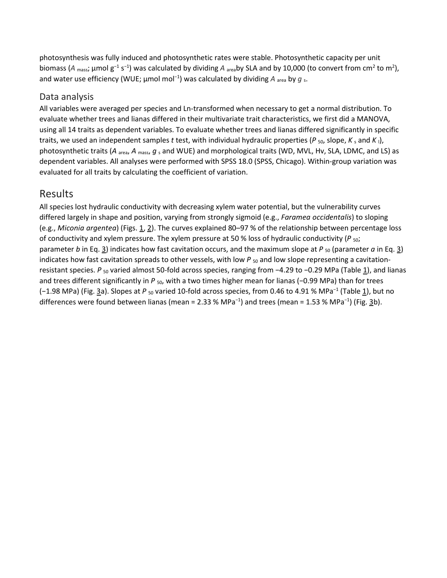photosynthesis was fully induced and photosynthetic rates were stable. Photosynthetic capacity per unit biomass (A <sub>mass</sub>; µmol g<sup>-1</sup> s<sup>-1</sup>) was calculated by dividing A <sub>area</sub>by SLA and by 10,000 (to convert from cm<sup>2</sup> to m<sup>2</sup>), and water use efficiency (WUE; μmol mol<sup>−1</sup>) was calculated by dividing *A* <sub>area</sub> by *g*<sub>s</sub>.

#### Data analysis

All variables were averaged per species and Ln-transformed when necessary to get a normal distribution. To evaluate whether trees and lianas differed in their multivariate trait characteristics, we first did a MANOVA, using all 14 traits as dependent variables. To evaluate whether trees and lianas differed significantly in specific traits, we used an independent samples *t* test, with individual hydraulic properties ( $P_{50}$ , slope,  $K_s$  and  $K_l$ ), photosynthetic traits (*A* area, *A* mass, *g* <sup>s</sup> and WUE) and morphological traits (WD, MVL, Hv, SLA, LDMC, and LS) as dependent variables. All analyses were performed with SPSS 18.0 (SPSS, Chicago). Within-group variation was evaluated for all traits by calculating the coefficient of variation.

#### Results

All species lost hydraulic conductivity with decreasing xylem water potential, but the vulnerability curves differed largely in shape and position, varying from strongly sigmoid (e.g., *Faramea occidentalis*) to sloping (e.g., *Miconia argentea*) (Figs. [1,](https://link.springer.com/article/10.1007%2Fs00442-012-2563-x#Fig1) [2\)](https://link.springer.com/article/10.1007%2Fs00442-012-2563-x#Fig2). The curves explained 80–97 % of the relationship between percentage loss of conductivity and xylem pressure. The xylem pressure at 50 % loss of hydraulic conductivity ( $P_{\text{50}}$ ; parameter *b* in Eq. [3\)](https://link.springer.com/article/10.1007%2Fs00442-012-2563-x#Equ3) indicates how fast cavitation occurs, and the maximum slope at  $P_{50}$  (parameter *a* in Eq. 3) indicates how fast cavitation spreads to other vessels, with low *P* <sub>50</sub> and low slope representing a cavitationresistant species. *P* <sub>50</sub> varied almost 50-fold across species, ranging from −4.29 to −0.29 MPa (Table [1\)](https://link.springer.com/article/10.1007%2Fs00442-012-2563-x#Tab1), and lianas and trees different significantly in *P* <sub>50</sub>, with a two times higher mean for lianas (−0.99 MPa) than for trees (−1.98 MPa) (Fig. [3a](https://link.springer.com/article/10.1007%2Fs00442-012-2563-x#Fig3)). Slopes at P<sub>50</sub> varied 10-fold across species, from 0.46 to 4.91 % MPa<sup>-1</sup> (Table [1\)](https://link.springer.com/article/10.1007%2Fs00442-012-2563-x#Tab1), but no differences were found between lianas (mean = 2.33 % MPa<sup>-1</sup>) and trees (mean = 1.53 % MPa<sup>-1</sup>) (Fig. <u>3</u>b).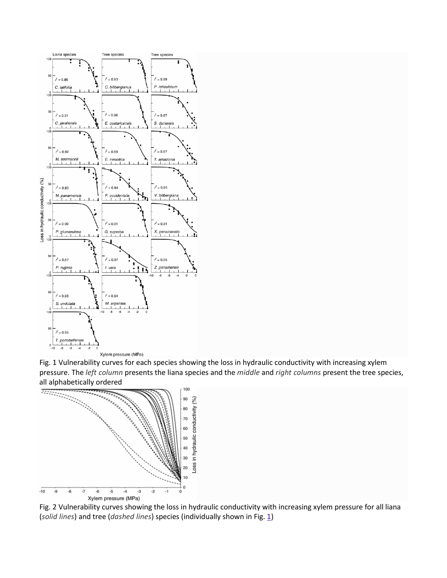

Fig. 1 Vulnerability curves for each species showing the loss in hydraulic conductivity with increasing xylem pressure. The *left column* presents the liana species and the *middle* and *right columns* present the tree species, all alphabetically ordered



Fig. 2 Vulnerability curves showing the loss in hydraulic conductivity with increasing xylem pressure for all liana (solid lines) and tree (*dashed lines*) species (individually shown in Fig. [1\)](https://link.springer.com/article/10.1007%2Fs00442-012-2563-x#Fig1)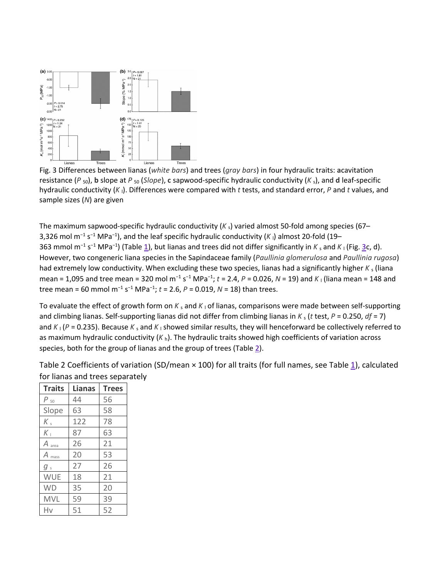

Fig. 3 Differences between lianas (*white bars*) and trees (*gray bars*) in four hydraulic traits: **a**cavitation resistance (*P* 50), **b** slope at *P* <sup>50</sup> (*Slope*), **c** sapwood-specific hydraulic conductivity (*K* s), and **d** leaf-specific hydraulic conductivity (*K* l). Differences were compared with *t* tests, and standard error, *P* and *t* values, and sample sizes (*N*) are given

The maximum sapwood-specific hydraulic conductivity  $(K<sub>s</sub>)$  varied almost 50-fold among species (67– 3,326 mol m<sup>-1</sup> s<sup>-1</sup> MPa<sup>-1</sup>), and the leaf specific hydraulic conductivity (K<sub>I</sub>) almost 20-fold (19– 363 mmol m<sup>-1</sup> s<sup>-1</sup> MPa<sup>-1</sup>) (Table [1\)](https://link.springer.com/article/10.1007%2Fs00442-012-2563-x#Tab1), but lianas and trees did not differ significantly in *K* <sub>s</sub> and *K* <sub>l</sub> (Fig. [3c](https://link.springer.com/article/10.1007%2Fs00442-012-2563-x#Fig3), d). However, two congeneric liana species in the Sapindaceae family (*Paullinia glomerulosa* and *Paullinia rugosa*) had extremely low conductivity. When excluding these two species, lianas had a significantly higher  $K_s$  (liana mean = 1,095 and tree mean = 320 mol m<sup>-1</sup> s<sup>-1</sup> MPa<sup>-1</sup>; t = 2.4, P = 0.026, N = 19) and K<sub>I</sub> (liana mean = 148 and tree mean = 60 mmol m<sup>−</sup><sup>1</sup> s<sup>−</sup><sup>1</sup> MPa<sup>−</sup><sup>1</sup> ; *t* = 2.6, *P* = 0.019, *N* = 18) than trees.

To evaluate the effect of growth form on  $K_s$  and  $K_l$  of lianas, comparisons were made between self-supporting and climbing lianas. Self-supporting lianas did not differ from climbing lianas in  $K_s$  (*t* test, *P* = 0.250, *df* = 7) and  $K_1$  ( $P = 0.235$ ). Because  $K_5$  and  $K_1$  showed similar results, they will henceforward be collectively referred to as maximum hydraulic conductivity (*K* h). The hydraulic traits showed high coefficients of variation across species, both for the group of lianas and the group of trees (Table  $\underline{2}$ ).

| Table 2 Coefficients of variation (SD/mean × 100) for all traits (for full names, see Table 1), calculated |  |
|------------------------------------------------------------------------------------------------------------|--|
| for lianas and trees separately                                                                            |  |

| <b>Traits</b>     | Lianas | <b>Trees</b> |
|-------------------|--------|--------------|
| Ρ<br>50           | 44     | 56           |
| Slope             | 63     | 58           |
| $K_{s}$           | 122    | 78           |
| $K_{\perp}$       | 87     | 63           |
| $A$ area          | 26     | 21           |
| $A_{\text{mass}}$ | 20     | 53           |
| $g_s$             | 27     | 26           |
| <b>WUE</b>        | 18     | 21           |
| <b>WD</b>         | 35     | 20           |
| <b>MVL</b>        | 59     | 39           |
| Hv                | 51     | 52           |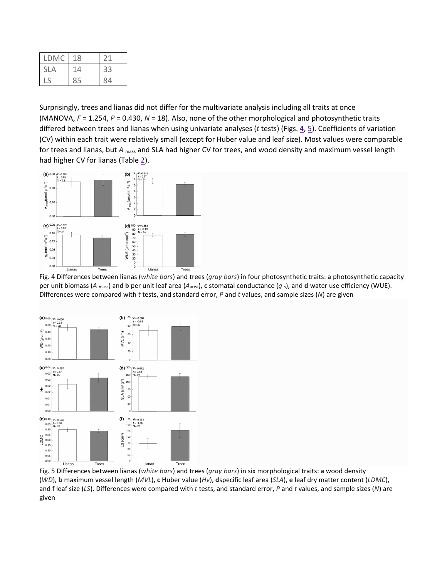| <b>LDMC</b> | 18 |    |
|-------------|----|----|
| <b>SLA</b>  | 14 | 33 |
|             | 85 | 84 |

Surprisingly, trees and lianas did not differ for the multivariate analysis including all traits at once (MANOVA, *F* = 1.254, *P* = 0.430, *N* = 18). Also, none of the other morphological and photosynthetic traits differed between trees and lianas when using univariate analyses (*t* tests) (Figs. [4,](https://link.springer.com/article/10.1007%2Fs00442-012-2563-x#Fig4) [5\)](https://link.springer.com/article/10.1007%2Fs00442-012-2563-x#Fig5). Coefficients of variation (CV) within each trait were relatively small (except for Huber value and leaf size). Most values were comparable for trees and lianas, but *A* mass and SLA had higher CV for trees, and wood density and maximum vessel length had higher CV for lianas (Table [2\)](https://link.springer.com/article/10.1007%2Fs00442-012-2563-x#Tab2).



Fig. 4 Differences between lianas (*white bars*) and trees (*gray bars*) in four photosynthetic traits: **a** photosynthetic capacity per unit biomass (*A* mass) and **b** per unit leaf area (*A*area), **c** stomatal conductance (*g* s), and **d** water use efficiency (WUE). Differences were compared with *t* tests, and standard error, *P* and *t* values, and sample sizes (*N*) are given



Fig. 5 Differences between lianas (*white bars*) and trees (*gray bars*) in six morphological traits: **a** wood density (*WD*), **b** maximum vessel length (*MVL*), **c** Huber value (*Hv*), **d**specific leaf area (*SLA*), **e** leaf dry matter content (*LDMC*), and **f** leaf size (*LS*). Differences were compared with *t* tests, and standard error, *P* and *t* values, and sample sizes (*N*) are given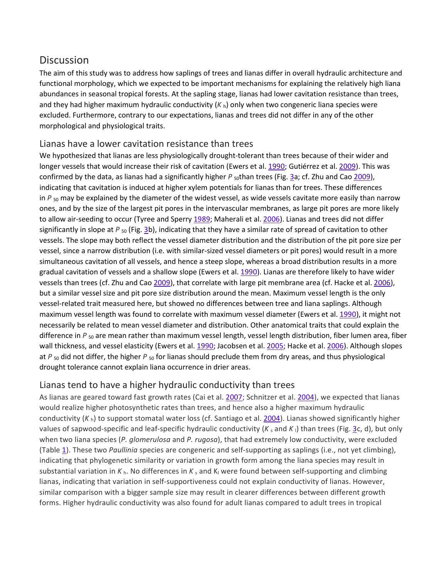# **Discussion**

The aim of this study was to address how saplings of trees and lianas differ in overall hydraulic architecture and functional morphology, which we expected to be important mechanisms for explaining the relatively high liana abundances in seasonal tropical forests. At the sapling stage, lianas had lower cavitation resistance than trees, and they had higher maximum hydraulic conductivity (*K* h) only when two congeneric liana species were excluded. Furthermore, contrary to our expectations, lianas and trees did not differ in any of the other morphological and physiological traits.

#### Lianas have a lower cavitation resistance than trees

We hypothesized that lianas are less physiologically drought-tolerant than trees because of their wider and longer vessels that would increase their risk of cavitation (Ewers et al. [1990;](https://link.springer.com/article/10.1007%2Fs00442-012-2563-x#CR11) Gutiérrez et al. [2009\)](https://link.springer.com/article/10.1007%2Fs00442-012-2563-x#CR15). This was confirmed by the data, as lianas had a significantly higher P <sub>so</sub>than trees (Fig. [3a](https://link.springer.com/article/10.1007%2Fs00442-012-2563-x#Fig3); cf. Zhu and Cao [2009\)](https://link.springer.com/article/10.1007%2Fs00442-012-2563-x#CR45), indicating that cavitation is induced at higher xylem potentials for lianas than for trees. These differences in  $P_{50}$  may be explained by the diameter of the widest vessel, as wide vessels cavitate more easily than narrow ones, and by the size of the largest pit pores in the intervascular membranes, as large pit pores are more likely to allow air-seeding to occur (Tyree and Sperry [1989;](https://link.springer.com/article/10.1007%2Fs00442-012-2563-x#CR41) Maherali et al. [2006\)](https://link.springer.com/article/10.1007%2Fs00442-012-2563-x#CR20). Lianas and trees did not differ significantly in slope at P<sub>50</sub> (Fig. [3b](https://link.springer.com/article/10.1007%2Fs00442-012-2563-x#Fig3)), indicating that they have a similar rate of spread of cavitation to other vessels. The slope may both reflect the vessel diameter distribution and the distribution of the pit pore size per vessel, since a narrow distribution (i.e. with similar-sized vessel diameters or pit pores) would result in a more simultaneous cavitation of all vessels, and hence a steep slope, whereas a broad distribution results in a more gradual cavitation of vessels and a shallow slope (Ewers et al. [1990\)](https://link.springer.com/article/10.1007%2Fs00442-012-2563-x#CR11). Lianas are therefore likely to have wider vessels than trees (cf. Zhu and Cao [2009\)](https://link.springer.com/article/10.1007%2Fs00442-012-2563-x#CR45), that correlate with large pit membrane area (cf. Hacke et al. [2006\)](https://link.springer.com/article/10.1007%2Fs00442-012-2563-x#CR17), but a similar vessel size and pit pore size distribution around the mean. Maximum vessel length is the only vessel-related trait measured here, but showed no differences between tree and liana saplings. Although maximum vessel length was found to correlate with maximum vessel diameter (Ewers et al. [1990\)](https://link.springer.com/article/10.1007%2Fs00442-012-2563-x#CR11), it might not necessarily be related to mean vessel diameter and distribution. Other anatomical traits that could explain the difference in *P* <sub>50</sub> are mean rather than maximum vessel length, vessel length distribution, fiber lumen area, fiber wall thickness, and vessel elasticity (Ewers et al. [1990;](https://link.springer.com/article/10.1007%2Fs00442-012-2563-x#CR11) Jacobsen et al. [2005;](https://link.springer.com/article/10.1007%2Fs00442-012-2563-x#CR18) Hacke et al. [2006\)](https://link.springer.com/article/10.1007%2Fs00442-012-2563-x#CR17). Although slopes at *P* 50 did not differ, the higher *P* 50 for lianas should preclude them from dry areas, and thus physiological drought tolerance cannot explain liana occurrence in drier areas.

#### Lianas tend to have a higher hydraulic conductivity than trees

As lianas are geared toward fast growth rates (Cai et al. [2007;](https://link.springer.com/article/10.1007%2Fs00442-012-2563-x#CR5) Schnitzer et al. [2004\)](https://link.springer.com/article/10.1007%2Fs00442-012-2563-x#CR35), we expected that lianas would realize higher photosynthetic rates than trees, and hence also a higher maximum hydraulic conductivity (*K* h) to support stomatal water loss (cf. Santiago et al. [2004\)](https://link.springer.com/article/10.1007%2Fs00442-012-2563-x#CR31). Lianas showed significantly higher values of sapwood-specific and leaf-specific hydraulic conductivity  $(K_s$  and  $K_l)$  than trees (Fig. [3c](https://link.springer.com/article/10.1007%2Fs00442-012-2563-x#Fig3), d), but only when two liana species (*P. glomerulosa* and *P. rugosa*), that had extremely low conductivity, were excluded (Table [1\)](https://link.springer.com/article/10.1007%2Fs00442-012-2563-x#Tab1). These two *Paullinia* species are congeneric and self-supporting as saplings (i.e., not yet climbing), indicating that phylogenetic similarity or variation in growth form among the liana species may result in substantial variation in  $K<sub>h</sub>$ . No differences in  $K<sub>s</sub>$  and  $K<sub>l</sub>$  were found between self-supporting and climbing lianas, indicating that variation in self-supportiveness could not explain conductivity of lianas. However, similar comparison with a bigger sample size may result in clearer differences between different growth forms. Higher hydraulic conductivity was also found for adult lianas compared to adult trees in tropical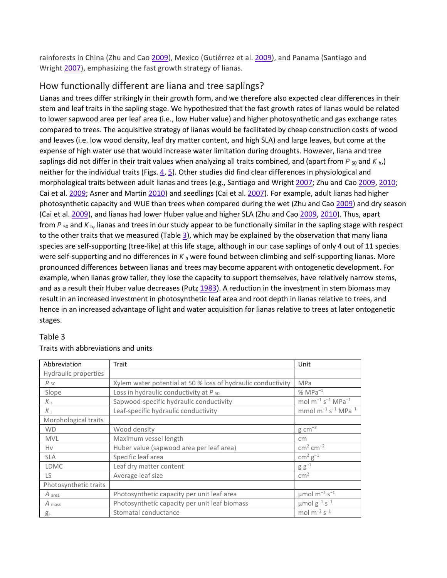rainforests in China (Zhu and Cao [2009\)](https://link.springer.com/article/10.1007%2Fs00442-012-2563-x#CR45), Mexico (Gutiérrez et al. [2009\)](https://link.springer.com/article/10.1007%2Fs00442-012-2563-x#CR15), and Panama (Santiago and Wright [2007\)](https://link.springer.com/article/10.1007%2Fs00442-012-2563-x#CR30), emphasizing the fast growth strategy of lianas.

#### How functionally different are liana and tree saplings?

Lianas and trees differ strikingly in their growth form, and we therefore also expected clear differences in their stem and leaf traits in the sapling stage. We hypothesized that the fast growth rates of lianas would be related to lower sapwood area per leaf area (i.e., low Huber value) and higher photosynthetic and gas exchange rates compared to trees. The acquisitive strategy of lianas would be facilitated by cheap construction costs of wood and leaves (i.e. low wood density, leaf dry matter content, and high SLA) and large leaves, but come at the expense of high water use that would increase water limitation during droughts. However, liana and tree saplings did not differ in their trait values when analyzing all traits combined, and (apart from  $P_{50}$  and  $K_{h}$ ) neither for the individual traits (Figs. [4,](https://link.springer.com/article/10.1007%2Fs00442-012-2563-x#Fig4) [5\)](https://link.springer.com/article/10.1007%2Fs00442-012-2563-x#Fig5). Other studies did find clear differences in physiological and morphological traits between adult lianas and trees (e.g., Santiago and Wright [2007;](https://link.springer.com/article/10.1007%2Fs00442-012-2563-x#CR30) Zhu and Cao [2009,](https://link.springer.com/article/10.1007%2Fs00442-012-2563-x#CR45) [2010;](https://link.springer.com/article/10.1007%2Fs00442-012-2563-x#CR46) Cai et al. [2009;](https://link.springer.com/article/10.1007%2Fs00442-012-2563-x#CR6) Asner and Martin [2010\)](https://link.springer.com/article/10.1007%2Fs00442-012-2563-x#CR2) and seedlings (Cai et al. [2007\)](https://link.springer.com/article/10.1007%2Fs00442-012-2563-x#CR5). For example, adult lianas had higher photosynthetic capacity and WUE than trees when compared during the wet (Zhu and Cao [2009\)](https://link.springer.com/article/10.1007%2Fs00442-012-2563-x#CR45) and dry season (Cai et al. [2009\)](https://link.springer.com/article/10.1007%2Fs00442-012-2563-x#CR6), and lianas had lower Huber value and higher SLA (Zhu and Cao [2009,](https://link.springer.com/article/10.1007%2Fs00442-012-2563-x#CR45) [2010\)](https://link.springer.com/article/10.1007%2Fs00442-012-2563-x#CR46). Thus, apart from  $P_{50}$  and  $K_{h}$ , lianas and trees in our study appear to be functionally similar in the sapling stage with respect to the other traits that we measured (Table  $\frac{3}{2}$ ), which may be explained by the observation that many liana species are self-supporting (tree-like) at this life stage, although in our case saplings of only 4 out of 11 species were self-supporting and no differences in  $K_h$  were found between climbing and self-supporting lianas. More pronounced differences between lianas and trees may become apparent with ontogenetic development. For example, when lianas grow taller, they lose the capacity to support themselves, have relatively narrow stems, and as a result their Huber value decreases (Putz [1983\)](https://link.springer.com/article/10.1007%2Fs00442-012-2563-x#CR26). A reduction in the investment in stem biomass may result in an increased investment in photosynthetic leaf area and root depth in lianas relative to trees, and hence in an increased advantage of light and water acquisition for lianas relative to trees at later ontogenetic stages.

#### Table 3

| Abbreviation          | Trait                                                        | Unit                                            |
|-----------------------|--------------------------------------------------------------|-------------------------------------------------|
| Hydraulic properties  |                                                              |                                                 |
| $P_{50}$              | Xylem water potential at 50 % loss of hydraulic conductivity | <b>MPa</b>                                      |
| Slope                 | Loss in hydraulic conductivity at $P_{50}$                   | $% MPa^{-1}$                                    |
| $K_{S}$               | Sapwood-specific hydraulic conductivity                      | mol $m^{-1}$ s <sup>-1</sup> MPa <sup>-1</sup>  |
| $K_{\perp}$           | Leaf-specific hydraulic conductivity                         | mmol $m^{-1}$ s <sup>-1</sup> MPa <sup>-1</sup> |
| Morphological traits  |                                                              |                                                 |
| <b>WD</b>             | Wood density                                                 | $g \text{ cm}^{-3}$                             |
| <b>MVL</b>            | Maximum vessel length                                        | cm                                              |
| Hv                    | Huber value (sapwood area per leaf area)                     | $cm2 cm-2$                                      |
| <b>SLA</b>            | Specific leaf area                                           | $\text{cm}^2 \text{ g}^{-1}$                    |
| <b>LDMC</b>           | Leaf dry matter content                                      | $g g^{-1}$                                      |
| LS.                   | Average leaf size                                            | cm <sup>2</sup>                                 |
| Photosynthetic traits |                                                              |                                                 |
| A area                | Photosynthetic capacity per unit leaf area                   | $\mu$ mol m <sup>-2</sup> s <sup>-1</sup>       |
| A mass                | Photosynthetic capacity per unit leaf biomass                | $\mu$ mol $g^{-1}$ s <sup>-1</sup>              |
| $g_s$                 | Stomatal conductance                                         | mol $m^{-2}$ s <sup>-1</sup>                    |

#### Traits with abbreviations and units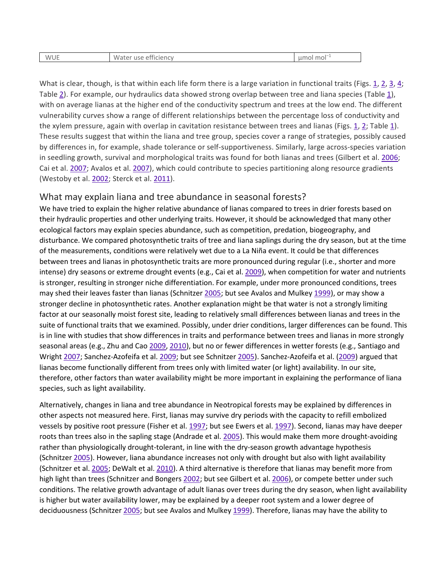| <b>WUE</b><br>$\sim$<br>. efficiencv<br>use<br>vater<br>W. | nol mol<br>$\sim$<br>шı |
|------------------------------------------------------------|-------------------------|
|------------------------------------------------------------|-------------------------|

What is clear, though, is that within each life form there is a large variation in functional traits (Figs. [1,](https://link.springer.com/article/10.1007%2Fs00442-012-2563-x#Fig1) [2,](https://link.springer.com/article/10.1007%2Fs00442-012-2563-x#Fig2) [3,](https://link.springer.com/article/10.1007%2Fs00442-012-2563-x#Fig3) [4;](https://link.springer.com/article/10.1007%2Fs00442-012-2563-x#Fig4) Table [2\)](https://link.springer.com/article/10.1007%2Fs00442-012-2563-x#Tab2). For example, our hydraulics data showed strong overlap between tree and liana species (Table [1\)](https://link.springer.com/article/10.1007%2Fs00442-012-2563-x#Tab1), with on average lianas at the higher end of the conductivity spectrum and trees at the low end. The different vulnerability curves show a range of different relationships between the percentage loss of conductivity and the xylem pressure, again with overlap in cavitation resistance between trees and lianas (Figs. [1,](https://link.springer.com/article/10.1007%2Fs00442-012-2563-x#Fig1) [2;](https://link.springer.com/article/10.1007%2Fs00442-012-2563-x#Fig2) Table [1\)](https://link.springer.com/article/10.1007%2Fs00442-012-2563-x#Tab1). These results suggest that within the liana and tree group, species cover a range of strategies, possibly caused by differences in, for example, shade tolerance or self-supportiveness. Similarly, large across-species variation in seedling growth, survival and morphological traits was found for both lianas and trees (Gilbert et al. [2006;](https://link.springer.com/article/10.1007%2Fs00442-012-2563-x#CR13) Cai et al. [2007;](https://link.springer.com/article/10.1007%2Fs00442-012-2563-x#CR5) Avalos et al. [2007\)](https://link.springer.com/article/10.1007%2Fs00442-012-2563-x#CR4), which could contribute to species partitioning along resource gradients (Westoby et al. [2002;](https://link.springer.com/article/10.1007%2Fs00442-012-2563-x#CR44) Sterck et al. [2011\)](https://link.springer.com/article/10.1007%2Fs00442-012-2563-x#CR38).

#### What may explain liana and tree abundance in seasonal forests?

We have tried to explain the higher relative abundance of lianas compared to trees in drier forests based on their hydraulic properties and other underlying traits. However, it should be acknowledged that many other ecological factors may explain species abundance, such as competition, predation, biogeography, and disturbance. We compared photosynthetic traits of tree and liana saplings during the dry season, but at the time of the measurements, conditions were relatively wet due to a La Niña event. It could be that differences between trees and lianas in photosynthetic traits are more pronounced during regular (i.e., shorter and more intense) dry seasons or extreme drought events (e.g., Cai et al. [2009\)](https://link.springer.com/article/10.1007%2Fs00442-012-2563-x#CR6), when competition for water and nutrients is stronger, resulting in stronger niche differentiation. For example, under more pronounced conditions, trees may shed their leaves faster than lianas (Schnitzer [2005;](https://link.springer.com/article/10.1007%2Fs00442-012-2563-x#CR32) but see Avalos and Mulkey [1999\)](https://link.springer.com/article/10.1007%2Fs00442-012-2563-x#CR3), or may show a stronger decline in photosynthetic rates. Another explanation might be that water is not a strongly limiting factor at our seasonally moist forest site, leading to relatively small differences between lianas and trees in the suite of functional traits that we examined. Possibly, under drier conditions, larger differences can be found. This is in line with studies that show differences in traits and performance between trees and lianas in more strongly seasonal areas (e.g., Zhu and Cao [2009,](https://link.springer.com/article/10.1007%2Fs00442-012-2563-x#CR45) [2010\)](https://link.springer.com/article/10.1007%2Fs00442-012-2563-x#CR46), but no or fewer differences in wetter forests (e.g., Santiago and Wright [2007;](https://link.springer.com/article/10.1007%2Fs00442-012-2563-x#CR30) Sanchez-Azofeifa et al. [2009;](https://link.springer.com/article/10.1007%2Fs00442-012-2563-x#CR29) but see Schnitzer [2005\)](https://link.springer.com/article/10.1007%2Fs00442-012-2563-x#CR32). Sanchez-Azofeifa et al. [\(2009\)](https://link.springer.com/article/10.1007%2Fs00442-012-2563-x#CR29) argued that lianas become functionally different from trees only with limited water (or light) availability. In our site, therefore, other factors than water availability might be more important in explaining the performance of liana species, such as light availability.

Alternatively, changes in liana and tree abundance in Neotropical forests may be explained by differences in other aspects not measured here. First, lianas may survive dry periods with the capacity to refill embolized vessels by positive root pressure (Fisher et al. [1997;](https://link.springer.com/article/10.1007%2Fs00442-012-2563-x#CR48) but see Ewers et al. [1997\)](https://link.springer.com/article/10.1007%2Fs00442-012-2563-x#CR12). Second, lianas may have deeper roots than trees also in the sapling stage (Andrade et al. [2005\)](https://link.springer.com/article/10.1007%2Fs00442-012-2563-x#CR1). This would make them more drought-avoiding rather than physiologically drought-tolerant, in line with the dry-season growth advantage hypothesis (Schnitzer [2005\)](https://link.springer.com/article/10.1007%2Fs00442-012-2563-x#CR32). However, liana abundance increases not only with drought but also with light availability (Schnitzer et al. [2005;](https://link.springer.com/article/10.1007%2Fs00442-012-2563-x#CR36) DeWalt et al. [2010\)](https://link.springer.com/article/10.1007%2Fs00442-012-2563-x#CR7). A third alternative is therefore that lianas may benefit more from high light than trees (Schnitzer and Bongers [2002;](https://link.springer.com/article/10.1007%2Fs00442-012-2563-x#CR33) but see Gilbert et al. [2006\)](https://link.springer.com/article/10.1007%2Fs00442-012-2563-x#CR13), or compete better under such conditions. The relative growth advantage of adult lianas over trees during the dry season, when light availability is higher but water availability lower, may be explained by a deeper root system and a lower degree of deciduousness (Schnitzer [2005;](https://link.springer.com/article/10.1007%2Fs00442-012-2563-x#CR32) but see Avalos and Mulkey [1999\)](https://link.springer.com/article/10.1007%2Fs00442-012-2563-x#CR3). Therefore, lianas may have the ability to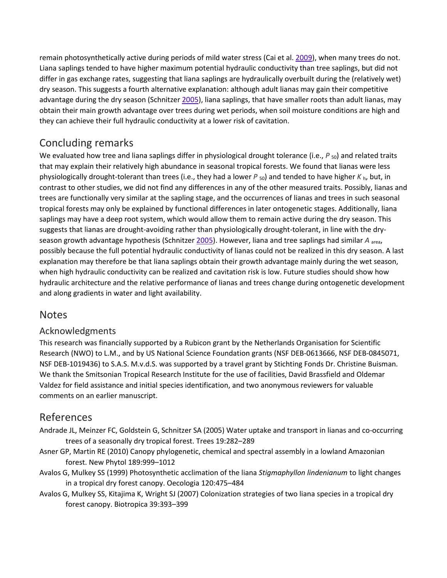remain photosynthetically active during periods of mild water stress (Cai et al. [2009\)](https://link.springer.com/article/10.1007%2Fs00442-012-2563-x#CR6), when many trees do not. Liana saplings tended to have higher maximum potential hydraulic conductivity than tree saplings, but did not differ in gas exchange rates, suggesting that liana saplings are hydraulically overbuilt during the (relatively wet) dry season. This suggests a fourth alternative explanation: although adult lianas may gain their competitive advantage during the dry season (Schnitzer [2005\)](https://link.springer.com/article/10.1007%2Fs00442-012-2563-x#CR32), liana saplings, that have smaller roots than adult lianas, may obtain their main growth advantage over trees during wet periods, when soil moisture conditions are high and they can achieve their full hydraulic conductivity at a lower risk of cavitation.

# Concluding remarks

We evaluated how tree and liana saplings differ in physiological drought tolerance (i.e., *P* <sub>50</sub>) and related traits that may explain their relatively high abundance in seasonal tropical forests. We found that lianas were less physiologically drought-tolerant than trees (i.e., they had a lower *P* 50) and tended to have higher *K* h, but, in contrast to other studies, we did not find any differences in any of the other measured traits. Possibly, lianas and trees are functionally very similar at the sapling stage, and the occurrences of lianas and trees in such seasonal tropical forests may only be explained by functional differences in later ontogenetic stages. Additionally, liana saplings may have a deep root system, which would allow them to remain active during the dry season. This suggests that lianas are drought-avoiding rather than physiologically drought-tolerant, in line with the dryseason growth advantage hypothesis (Schnitzer [2005\)](https://link.springer.com/article/10.1007%2Fs00442-012-2563-x#CR32). However, liana and tree saplings had similar *A* area, possibly because the full potential hydraulic conductivity of lianas could not be realized in this dry season. A last explanation may therefore be that liana saplings obtain their growth advantage mainly during the wet season, when high hydraulic conductivity can be realized and cavitation risk is low. Future studies should show how hydraulic architecture and the relative performance of lianas and trees change during ontogenetic development and along gradients in water and light availability.

# **Notes**

# Acknowledgments

This research was financially supported by a Rubicon grant by the Netherlands Organisation for Scientific Research (NWO) to L.M., and by US National Science Foundation grants (NSF DEB-0613666, NSF DEB-0845071, NSF DEB-1019436) to S.A.S. M.v.d.S. was supported by a travel grant by Stichting Fonds Dr. Christine Buisman. We thank the Smitsonian Tropical Research Institute for the use of facilities, David Brassfield and Oldemar Valdez for field assistance and initial species identification, and two anonymous reviewers for valuable comments on an earlier manuscript.

# References

- Andrade JL, Meinzer FC, Goldstein G, Schnitzer SA (2005) Water uptake and transport in lianas and co-occurring trees of a seasonally dry tropical forest. Trees 19:282–289
- Asner GP, Martin RE (2010) Canopy phylogenetic, chemical and spectral assembly in a lowland Amazonian forest. New Phytol 189:999–1012
- Avalos G, Mulkey SS (1999) Photosynthetic acclimation of the liana *Stigmaphyllon lindenianum* to light changes in a tropical dry forest canopy. Oecologia 120:475–484
- Avalos G, Mulkey SS, Kitajima K, Wright SJ (2007) Colonization strategies of two liana species in a tropical dry forest canopy. Biotropica 39:393–399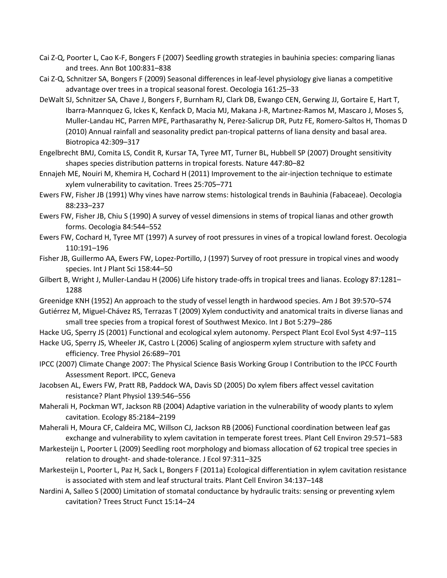- Cai Z-Q, Poorter L, Cao K-F, Bongers F (2007) Seedling growth strategies in bauhinia species: comparing lianas and trees. Ann Bot 100:831–838
- Cai Z-Q, Schnitzer SA, Bongers F (2009) Seasonal differences in leaf-level physiology give lianas a competitive advantage over trees in a tropical seasonal forest. Oecologia 161:25–33
- DeWalt SJ, Schnitzer SA, Chave J, Bongers F, Burnham RJ, Clark DB, Ewango CEN, Gerwing JJ, Gortaire E, Hart T, Ibarra-Manrıquez G, Ickes K, Kenfack D, Macia MJ, Makana J-R, Martınez-Ramos M, Mascaro J, Moses S, Muller-Landau HC, Parren MPE, Parthasarathy N, Perez-Salicrup DR, Putz FE, Romero-Saltos H, Thomas D (2010) Annual rainfall and seasonality predict pan-tropical patterns of liana density and basal area. Biotropica 42:309–317
- Engelbrecht BMJ, Comita LS, Condit R, Kursar TA, Tyree MT, Turner BL, Hubbell SP (2007) Drought sensitivity shapes species distribution patterns in tropical forests. Nature 447:80–82
- Ennajeh ME, Nouiri M, Khemira H, Cochard H (2011) Improvement to the air-injection technique to estimate xylem vulnerability to cavitation. Trees 25:705–771
- Ewers FW, Fisher JB (1991) Why vines have narrow stems: histological trends in Bauhinia (Fabaceae). Oecologia 88:233–237
- Ewers FW, Fisher JB, Chiu S (1990) A survey of vessel dimensions in stems of tropical lianas and other growth forms. Oecologia 84:544–552
- Ewers FW, Cochard H, Tyree MT (1997) A survey of root pressures in vines of a tropical lowland forest. Oecologia 110:191–196
- Fisher JB, Guillermo AA, Ewers FW, Lopez-Portillo, J (1997) Survey of root pressure in tropical vines and woody species. Int J Plant Sci 158:44–50
- Gilbert B, Wright J, Muller-Landau H (2006) Life history trade-offs in tropical trees and lianas. Ecology 87:1281– 1288
- Greenidge KNH (1952) An approach to the study of vessel length in hardwood species. Am J Bot 39:570–574
- Gutiérrez M, Miguel-Chávez RS, Terrazas T (2009) Xylem conductivity and anatomical traits in diverse lianas and small tree species from a tropical forest of Southwest Mexico. Int J Bot 5:279–286
- Hacke UG, Sperry JS (2001) Functional and ecological xylem autonomy. Perspect Plant Ecol Evol Syst 4:97–115
- Hacke UG, Sperry JS, Wheeler JK, Castro L (2006) Scaling of angiosperm xylem structure with safety and efficiency. Tree Physiol 26:689–701
- IPCC (2007) Climate Change 2007: The Physical Science Basis Working Group I Contribution to the IPCC Fourth Assessment Report. IPCC, Geneva
- Jacobsen AL, Ewers FW, Pratt RB, Paddock WA, Davis SD (2005) Do xylem fibers affect vessel cavitation resistance? Plant Physiol 139:546–556
- Maherali H, Pockman WT, Jackson RB (2004) Adaptive variation in the vulnerability of woody plants to xylem cavitation. Ecology 85:2184–2199
- Maherali H, Moura CF, Caldeira MC, Willson CJ, Jackson RB (2006) Functional coordination between leaf gas exchange and vulnerability to xylem cavitation in temperate forest trees. Plant Cell Environ 29:571–583
- Markesteijn L, Poorter L (2009) Seedling root morphology and biomass allocation of 62 tropical tree species in relation to drought- and shade-tolerance. J Ecol 97:311–325
- Markesteijn L, Poorter L, Paz H, Sack L, Bongers F (2011a) Ecological differentiation in xylem cavitation resistance is associated with stem and leaf structural traits. Plant Cell Environ 34:137–148
- Nardini A, Salleo S (2000) Limitation of stomatal conductance by hydraulic traits: sensing or preventing xylem cavitation? Trees Struct Funct 15:14–24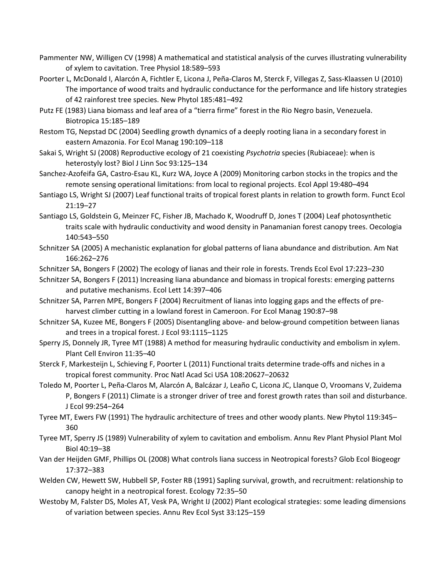- Pammenter NW, Willigen CV (1998) A mathematical and statistical analysis of the curves illustrating vulnerability of xylem to cavitation. Tree Physiol 18:589–593
- Poorter L, McDonald I, Alarcón A, Fichtler E, Licona J, Peña-Claros M, Sterck F, Villegas Z, Sass-Klaassen U (2010) The importance of wood traits and hydraulic conductance for the performance and life history strategies of 42 rainforest tree species. New Phytol 185:481–492
- Putz FE (1983) Liana biomass and leaf area of a "tierra firme" forest in the Rio Negro basin, Venezuela. Biotropica 15:185–189
- Restom TG, Nepstad DC (2004) Seedling growth dynamics of a deeply rooting liana in a secondary forest in eastern Amazonia. For Ecol Manag 190:109–118
- Sakai S, Wright SJ (2008) Reproductive ecology of 21 coexisting *Psychotria* species (Rubiaceae): when is heterostyly lost? Biol J Linn Soc 93:125–134
- Sanchez-Azofeifa GA, Castro-Esau KL, Kurz WA, Joyce A (2009) Monitoring carbon stocks in the tropics and the remote sensing operational limitations: from local to regional projects. Ecol Appl 19:480–494
- Santiago LS, Wright SJ (2007) Leaf functional traits of tropical forest plants in relation to growth form. Funct Ecol 21:19–27
- Santiago LS, Goldstein G, Meinzer FC, Fisher JB, Machado K, Woodruff D, Jones T (2004) Leaf photosynthetic traits scale with hydraulic conductivity and wood density in Panamanian forest canopy trees. Oecologia 140:543–550
- Schnitzer SA (2005) A mechanistic explanation for global patterns of liana abundance and distribution. Am Nat 166:262–276
- Schnitzer SA, Bongers F (2002) The ecology of lianas and their role in forests. Trends Ecol Evol 17:223–230
- Schnitzer SA, Bongers F (2011) Increasing liana abundance and biomass in tropical forests: emerging patterns and putative mechanisms. Ecol Lett 14:397–406
- Schnitzer SA, Parren MPE, Bongers F (2004) Recruitment of lianas into logging gaps and the effects of preharvest climber cutting in a lowland forest in Cameroon. For Ecol Manag 190:87–98
- Schnitzer SA, Kuzee ME, Bongers F (2005) Disentangling above- and below-ground competition between lianas and trees in a tropical forest. J Ecol 93:1115–1125
- Sperry JS, Donnely JR, Tyree MT (1988) A method for measuring hydraulic conductivity and embolism in xylem. Plant Cell Environ 11:35–40
- Sterck F, Markesteijn L, Schieving F, Poorter L (2011) Functional traits determine trade-offs and niches in a tropical forest community. Proc Natl Acad Sci USA 108:20627–20632
- Toledo M, Poorter L, Peña-Claros M, Alarcón A, Balcázar J, Leaño C, Licona JC, Llanque O, Vroomans V, Zuidema P, Bongers F (2011) Climate is a stronger driver of tree and forest growth rates than soil and disturbance. J Ecol 99:254–264
- Tyree MT, Ewers FW (1991) The hydraulic architecture of trees and other woody plants. New Phytol 119:345– 360
- Tyree MT, Sperry JS (1989) Vulnerability of xylem to cavitation and embolism. Annu Rev Plant Physiol Plant Mol Biol 40:19–38
- Van der Heijden GMF, Phillips OL (2008) What controls liana success in Neotropical forests? Glob Ecol Biogeogr 17:372–383
- Welden CW, Hewett SW, Hubbell SP, Foster RB (1991) Sapling survival, growth, and recruitment: relationship to canopy height in a neotropical forest. Ecology 72:35–50
- Westoby M, Falster DS, Moles AT, Vesk PA, Wright IJ (2002) Plant ecological strategies: some leading dimensions of variation between species. Annu Rev Ecol Syst 33:125–159